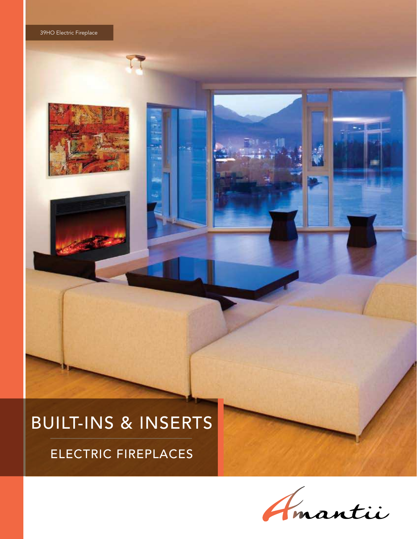# BUILT-INS & INSERTS

ELECTRIC FIREPLACES

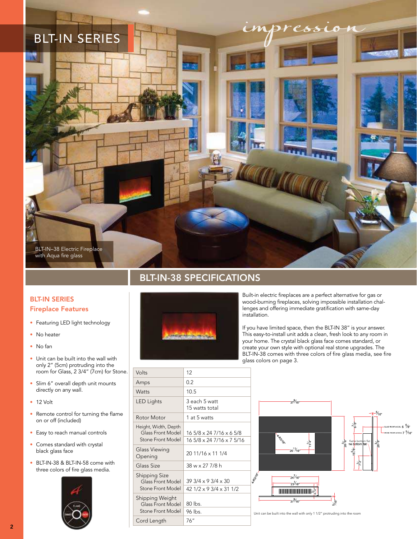

### BLT-IN-38 SPECIFICATIONS

### BLT-IN SERIES Fireplace Features

- Featuring LED light technology
- No heater
- No fan
- Unit can be built into the wall with only 2" (5cm) protruding into the room for Glass, 2 3/4" (7cm) for Stone.
- Slim 6" overall depth unit mounts directly on any wall.
- 12 Volt
- Remote control for turning the flame on or off (included)
- Easy to reach manual controls
- Comes standard with crystal black glass face
- BLT-IN-38 & BLT-IN-58 come with three colors of fire glass media.





Built-in electric fireplaces are a perfect alternative for gas or wood-burning fireplaces, solving impossible installation challenges and offering immediate gratification with same-day installation.

If you have limited space, then the BLT-IN 38" is your answer. This easy-to-install unit adds a clean, fresh look to any room in your home. The crystal black glass face comes standard, or create your own style with optional real stone upgrades. The BLT-IN-38 comes with three colors of fire glass media, see fire glass colors on page 3.

| Volts                                                          | 12                                                       |
|----------------------------------------------------------------|----------------------------------------------------------|
| Amps                                                           | 0.2                                                      |
| Watts                                                          | 10.5                                                     |
| <b>LED Lights</b>                                              | 3 each 5 watt<br>15 watts total                          |
| Rotor Motor                                                    | 1 at 5 watts                                             |
| Height, Width, Depth<br>Glass Front Model<br>Stone Front Model | 16 5/8 x 24 7/16 x 6 5/8<br>16 5/8 x 24 7/16 x 7 5/16    |
| Glass Viewing<br>Opening                                       | 20 11/16 x 11 1/4                                        |
| Glass Size                                                     | 38 w x 27 7/8 h                                          |
| <b>Shipping Size</b><br>Glass Front Model<br>Stone Front Model | $393/4 \times 93/4 \times 30$<br>42 1/2 x 9 3/4 x 31 1/2 |
| Shipping Weight<br>Glass Front Model<br>Stone Front Model      | 80 lbs.<br>96 lbs.                                       |
| Cord Length                                                    | 76''                                                     |



Unit can be built into the wall with only 1 1/2" protruding into the room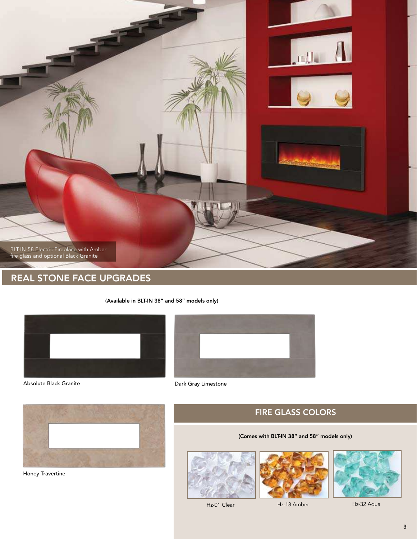

### REAL STONE FACE UPGRADES

(Available in BLT-IN 38" and 58" models only)









Honey Travertine





(Comes with BLT-IN 38" and 58" models only)

FIRE GLASS COLORS

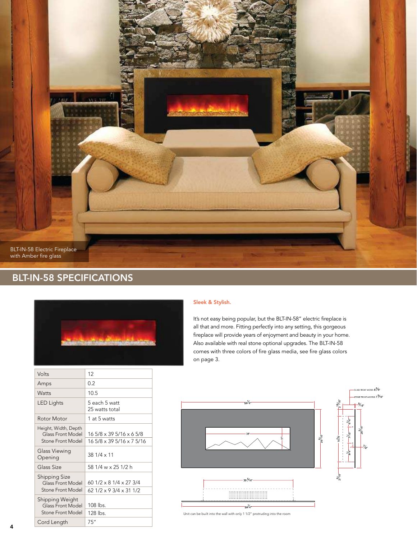

### BLT-IN-58 SPECIFICATIONS



| Volts                                                          | 12                                                                        |
|----------------------------------------------------------------|---------------------------------------------------------------------------|
| Amps                                                           | 0.2                                                                       |
| Watts                                                          | 10.5                                                                      |
| <b>LED Lights</b>                                              | 5 each 5 watt<br>25 watts total                                           |
| Rotor Motor                                                    | 1 at 5 watts                                                              |
| Height, Width, Depth<br>Glass Front Model<br>Stone Front Model | 16 5/8 x 39 5/16 x 6 5/8<br>16 5/8 x 39 5/16 x 7 5/16                     |
| Glass Viewing<br>Opening                                       | 38 1/4 x 11                                                               |
| Glass Size                                                     | 58 1/4 w x 25 1/2 h                                                       |
| <b>Shipping Size</b><br>Glass Front Model<br>Stone Front Model | 60 $1/2 \times 8$ $1/4 \times 27$ 3/4<br>$621/2 \times 93/4 \times 311/2$ |
| Shipping Weight<br>Glass Front Model<br>Stone Front Model      | 108 lbs.<br>128 lbs.                                                      |
| Cord Length                                                    | 75''                                                                      |

#### Sleek & Stylish.

It's not easy being popular, but the BLT-IN-58" electric fireplace is all that and more. Fitting perfectly into any setting, this gorgeous fireplace will provide years of enjoyment and beauty in your home. Also available with real stone optional upgrades. The BLT-IN-58 comes with three colors of fire glass media, see fire glass colors on page 3.



Unit can be built into the wall with only 1 1/2" protruding into the room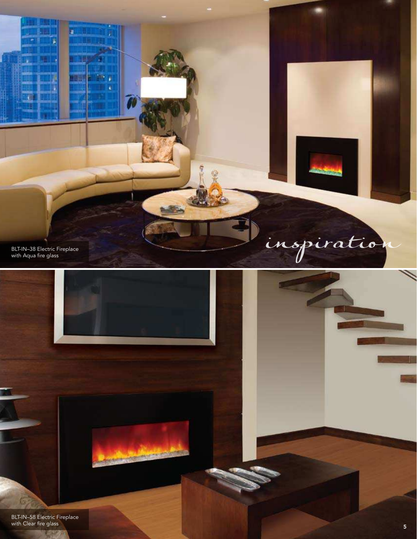

BLT-IN–58 Electric Fireplace with Clear fire glass

**REGIST**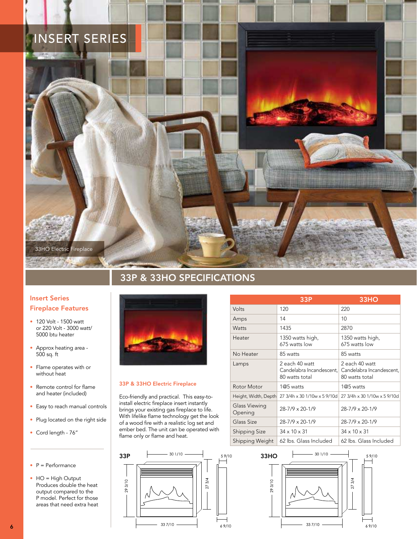## INSERT SERIES



### 33P & 33HO SPECIFICATIONS

### Insert Series Fireplace Features

- 120 Volt 1500 watt or 220 Volt - 3000 watt/ 5000 btu heater
- Approx heating area 500 sq. ft
- Flame operates with or without heat
- Remote control for flame and heater (included)
- Easy to reach manual controls
- Plug located on the right side
- Cord length 76"

#### P = Performance

• HO = High Output Produces double the heat output compared to the P model. Perfect for those areas that need extra heat



#### 33P & 33HO Electric Fireplace

293/10

Eco-friendly and practical. This easy-toinstall electric fireplace insert instantly brings your existing gas fireplace to life. With lifelike flame technology get the look of a wood fire with a realistic log set and ember bed. The unit can be operated with flame only or flame and heat.

 $337/10$ 

 $\frac{5}{4}$ 27

69/10

|                          | 33P                                                          | 33HO                                                         |
|--------------------------|--------------------------------------------------------------|--------------------------------------------------------------|
| Volts                    | 120                                                          | 220                                                          |
| Amps                     | 14                                                           | 10                                                           |
| <b>Watts</b>             | 1435                                                         | 2870                                                         |
| Heater                   | 1350 watts high,<br>675 watts low                            | 1350 watts high,<br>675 watts low                            |
| No Heater                | 85 watts                                                     | 85 watts                                                     |
| Lamps                    | 2 each 40 watt<br>Candelabra Incandescent.<br>80 watts total | 2 each 40 watt<br>Candelabra Incandescent,<br>80 watts total |
| Rotor Motor              | $1@5$ watts                                                  | 1@5 watts                                                    |
| Height, Width, Depth     | 27 3/4h x 30 1/10w x 5 9/10d                                 | 27 3/4h x 30 1/10w x 5 9/10d                                 |
| Glass Viewing<br>Opening | $28 - 7/9 \times 20 - 1/9$                                   | 28-7/9 x 20-1/9                                              |
| Glass Size               | $28 - 7/9 \times 20 - 1/9$                                   | 28-7/9 x 20-1/9                                              |
| <b>Shipping Size</b>     | $34 \times 10 \times 31$                                     | $34 \times 10 \times 31$                                     |
| Shipping Weight          | 62 lbs. Glass Included                                       | 62 lbs. Glass Included                                       |



6

69/10

59/10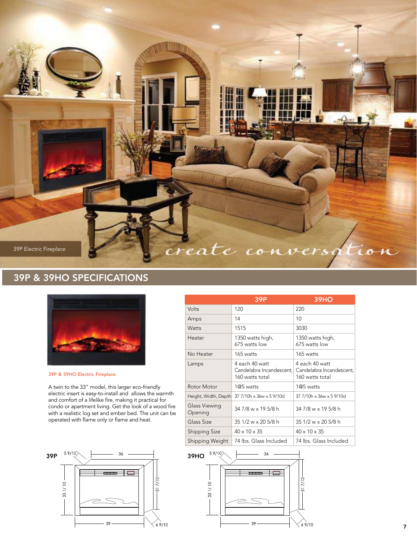

### 39P & 39HO SPECIFICATIONS



39P & 39HO Electric Fireplace

A twin to the 33" model, this larger eco-friendly electric insert is easy-to-install and allows the warmth and comfort of a lifelike fire, making it practical for condo or apartment living. Get the look of a wood fire with a realistic log set and ember bed. The unit can be operated with flame only or flame and heat.



|                          | 39P                                                           | <b>39HO</b>                                                   |
|--------------------------|---------------------------------------------------------------|---------------------------------------------------------------|
| Volts                    | 120                                                           | 220                                                           |
| Amps                     | 14                                                            | 10 <sup>1</sup>                                               |
| Watts                    | 1515                                                          | 3030                                                          |
| Heater                   | 1350 watts high,<br>675 watts low                             | 1350 watts high,<br>675 watts low                             |
| No Heater                | 165 watts                                                     | 165 watts                                                     |
| Lamps                    | 4 each 40 watt<br>Candelabra Incandescent.<br>160 watts total | 4 each 40 watt<br>Candelabra Incandescent,<br>160 watts total |
| Rotor Motor              | 1@5 watts                                                     | 1@5 watts                                                     |
| Height, Width, Depth     | 37 7/10h x 36w x 5 9/10d                                      | 37 7/10h x 36w x 5 9/10d                                      |
| Glass Viewing<br>Opening | 34 7/8 w x 19 5/8 h                                           | 34 7/8 w x 19 5/8 h                                           |
| Glass Size               | 35 1/2 w x 20 5/8 h                                           | 35 1/2 w x 20 5/8 h                                           |
| <b>Shipping Size</b>     | $40 \times 10 \times 35$                                      | $40 \times 10 \times 35$                                      |
| Shipping Weight          | 74 lbs. Glass Included                                        | 74 lbs. Glass Included                                        |